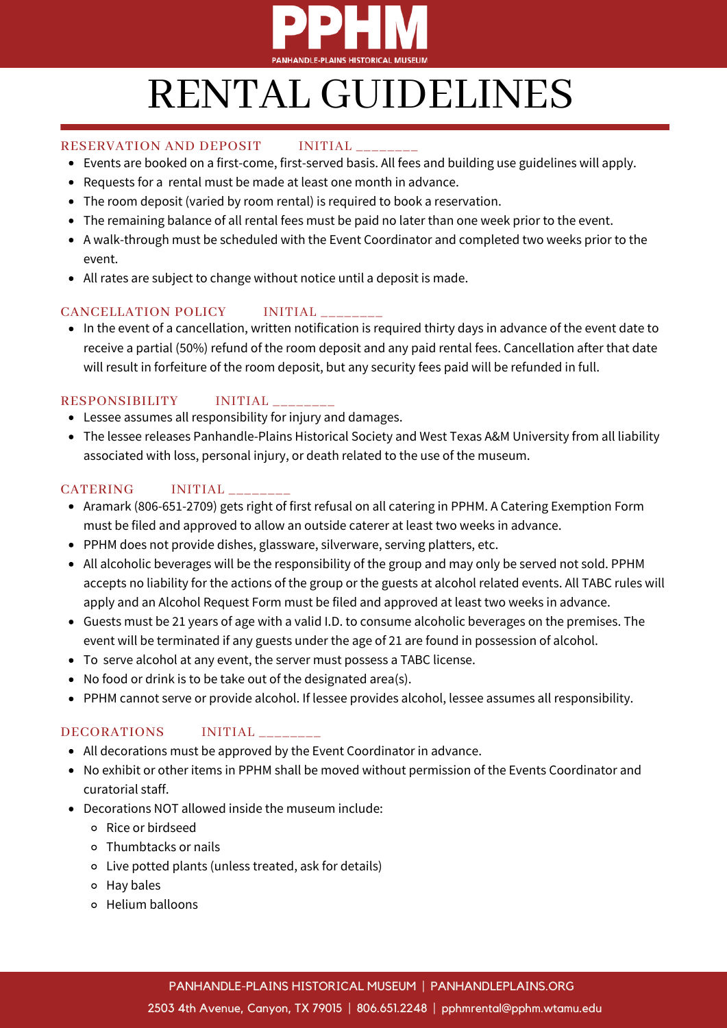

## RENTAL GUIDELINES

#### RESERVATION AND DEPOSIT INITIAL

- Events are booked on a first-come, first-served basis. All fees and building use guidelines will apply.
- Requests for a rental must be made at least one month in advance.
- The room deposit (varied by room rental) is required to book a reservation.
- The remaining balance of all rental fees must be paid no later than one week prior to the event.
- A walk-through must be scheduled with the Event Coordinator and completed two weeks prior to the event.
- All rates are subject to change without notice until a deposit is made.

## CANCELLATION POLICY INITIAL

In the event of a cancellation, written notification is required thirty days in advance of the event date to receive a partial (50%) refund of the room deposit and any paid rental fees. Cancellation after that date will result in forfeiture of the room deposit, but any security fees paid will be refunded in full.

### RESPONSIBILITY INITIAL

- Lessee assumes all responsibility for injury and damages.
- The lessee releases Panhandle-Plains Historical Society and West Texas A&M University from all liability associated with loss, personal injury, or death related to the use of the museum.

### CATERING INITIAL

- Aramark (806-651-2709) gets right of first refusal on all catering in PPHM. A Catering Exemption Form must be filed and approved to allow an outside caterer at least two weeks in advance.
- PPHM does not provide dishes, glassware, silverware, serving platters, etc.
- All alcoholic beverages will be the responsibility of the group and may only be served not sold. PPHM accepts no liability for the actions of the group or the guests at alcohol related events. All TABC rules will apply and an Alcohol Request Form must be filed and approved at least two weeks in advance.
- Guests must be 21 years of age with a valid I.D. to consume alcoholic beverages on the premises. The event will be terminated if any guests under the age of 21 are found in possession of alcohol.
- To serve alcohol at any event, the server must possess a TABC license.
- No food or drink is to be take out of the designated area(s).
- PPHM cannot serve or provide alcohol. If lessee provides alcohol, lessee assumes all responsibility.

## DECORATIONS INITIAL \_\_\_\_\_\_\_\_

- All decorations must be approved by the Event Coordinator in advance.
- No exhibit or other items in PPHM shall be moved without permission of the Events Coordinator and curatorial staff.
- Decorations NOT allowed inside the museum include:
	- Rice or birdseed
	- Thumbtacks or nails
	- Live potted plants (unless treated, ask for details)
	- Hay bales
	- Helium balloons